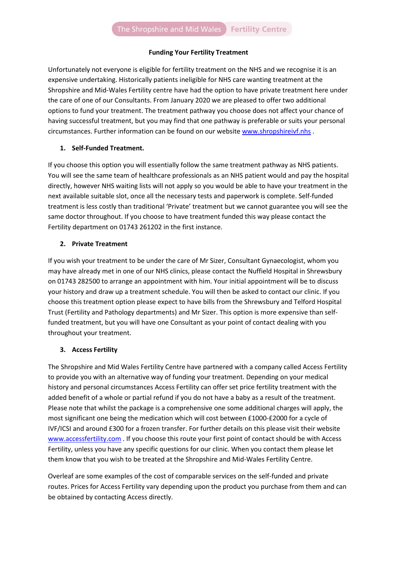### **Funding Your Fertility Treatment**

Unfortunately not everyone is eligible for fertility treatment on the NHS and we recognise it is an expensive undertaking. Historically patients ineligible for NHS care wanting treatment at the Shropshire and Mid-Wales Fertility centre have had the option to have private treatment here under the care of one of our Consultants. From January 2020 we are pleased to offer two additional options to fund your treatment. The treatment pathway you choose does not affect your chance of having successful treatment, but you may find that one pathway is preferable or suits your personal circumstances. Further information can be found on our website [www.shropshireivf.nhs](http://www.shropshireivf.nhs/) .

## **1. Self-Funded Treatment.**

If you choose this option you will essentially follow the same treatment pathway as NHS patients. You will see the same team of healthcare professionals as an NHS patient would and pay the hospital directly, however NHS waiting lists will not apply so you would be able to have your treatment in the next available suitable slot, once all the necessary tests and paperwork is complete. Self-funded treatment is less costly than traditional 'Private' treatment but we cannot guarantee you will see the same doctor throughout. If you choose to have treatment funded this way please contact the Fertility department on 01743 261202 in the first instance.

## **2. Private Treatment**

If you wish your treatment to be under the care of Mr Sizer, Consultant Gynaecologist, whom you may have already met in one of our NHS clinics, please contact the Nuffield Hospital in Shrewsbury on 01743 282500 to arrange an appointment with him. Your initial appointment will be to discuss your history and draw up a treatment schedule. You will then be asked to contact our clinic. If you choose this treatment option please expect to have bills from the Shrewsbury and Telford Hospital Trust (Fertility and Pathology departments) and Mr Sizer. This option is more expensive than selffunded treatment, but you will have one Consultant as your point of contact dealing with you throughout your treatment.

# **3. Access Fertility**

The Shropshire and Mid Wales Fertility Centre have partnered with a company called Access Fertility to provide you with an alternative way of funding your treatment. Depending on your medical history and personal circumstances Access Fertility can offer set price fertility treatment with the added benefit of a whole or partial refund if you do not have a baby as a result of the treatment. Please note that whilst the package is a comprehensive one some additional charges will apply, the most significant one being the medication which will cost between £1000-£2000 for a cycle of IVF/ICSI and around £300 for a frozen transfer. For further details on this please visit their website [www.accessfertility.com](http://www.accessfertility.com/) . If you choose this route your first point of contact should be with Access Fertility, unless you have any specific questions for our clinic. When you contact them please let them know that you wish to be treated at the Shropshire and Mid-Wales Fertility Centre.

Overleaf are some examples of the cost of comparable services on the self-funded and private routes. Prices for Access Fertility vary depending upon the product you purchase from them and can be obtained by contacting Access directly.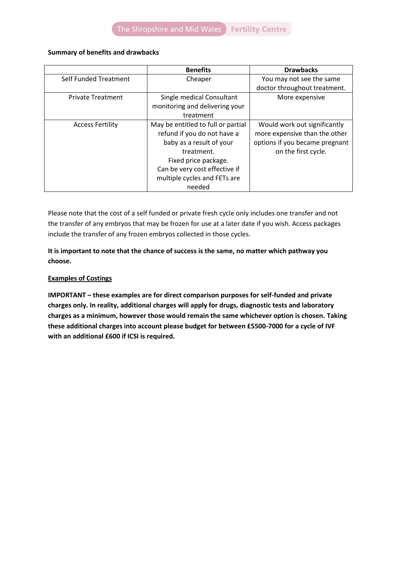### **Summary of benefits and drawbacks**

|                          | <b>Benefits</b>                    | <b>Drawbacks</b>               |  |  |  |
|--------------------------|------------------------------------|--------------------------------|--|--|--|
| Self Funded Treatment    | Cheaper                            | You may not see the same       |  |  |  |
|                          | doctor throughout treatment.       |                                |  |  |  |
| <b>Private Treatment</b> | Single medical Consultant          | More expensive                 |  |  |  |
|                          | monitoring and delivering your     |                                |  |  |  |
|                          | treatment                          |                                |  |  |  |
| <b>Access Fertility</b>  | May be entitled to full or partial | Would work out significantly   |  |  |  |
|                          | refund if you do not have a        | more expensive than the other  |  |  |  |
|                          | baby as a result of your           | options if you became pregnant |  |  |  |
|                          | treatment.                         | on the first cycle.            |  |  |  |
|                          | Fixed price package.               |                                |  |  |  |
|                          | Can be very cost effective if      |                                |  |  |  |
|                          | multiple cycles and FETs are       |                                |  |  |  |
|                          | needed                             |                                |  |  |  |

Please note that the cost of a self funded or private fresh cycle only includes one transfer and not the transfer of any embryos that may be frozen for use at a later date if you wish. Access packages include the transfer of any frozen embryos collected in those cycles.

# **It is important to note that the chance of success is the same, no matter which pathway you choose.**

## **Examples of Costings**

**IMPORTANT – these examples are for direct comparison purposes for self-funded and private charges only. In reality, additional charges will apply for drugs, diagnostic tests and laboratory charges as a minimum, however those would remain the same whichever option is chosen. Taking these additional charges into account please budget for between £5500-7000 for a cycle of IVF with an additional £600 if ICSI is required.**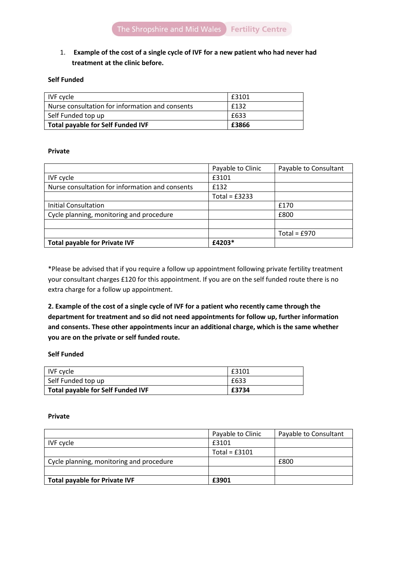# 1. **Example of the cost of a single cycle of IVF for a new patient who had never had treatment at the clinic before.**

### **Self Funded**

| IVF cycle                                         | £3101 |
|---------------------------------------------------|-------|
| l Nurse consultation for information and consents | £132  |
| Self Funded top up                                | £633  |
| Total payable for Self Funded IVF                 | £3866 |

#### **Private**

|                                                 | Payable to Clinic | Payable to Consultant |
|-------------------------------------------------|-------------------|-----------------------|
| <b>IVF</b> cycle                                | £3101             |                       |
| Nurse consultation for information and consents | £132              |                       |
|                                                 | Total = $£3233$   |                       |
| Initial Consultation                            |                   | £170                  |
| Cycle planning, monitoring and procedure        |                   | £800                  |
|                                                 |                   |                       |
|                                                 |                   | Total = $£970$        |
| <b>Total payable for Private IVF</b>            | £4203*            |                       |

\*Please be advised that if you require a follow up appointment following private fertility treatment your consultant charges £120 for this appointment. If you are on the self funded route there is no extra charge for a follow up appointment.

**2. Example of the cost of a single cycle of IVF for a patient who recently came through the department for treatment and so did not need appointments for follow up, further information and consents. These other appointments incur an additional charge, which is the same whether you are on the private or self funded route.**

#### **Self Funded**

| IVF cycle                                | £3101 |
|------------------------------------------|-------|
| Self Funded top up                       | £633  |
| <b>Total payable for Self Funded IVF</b> | £3734 |

#### **Private**

|                                          | Payable to Clinic | Payable to Consultant |
|------------------------------------------|-------------------|-----------------------|
| IVF cycle                                | £3101             |                       |
|                                          | Total = $£3101$   |                       |
| Cycle planning, monitoring and procedure |                   | £800                  |
|                                          |                   |                       |
| <b>Total payable for Private IVF</b>     | £3901             |                       |